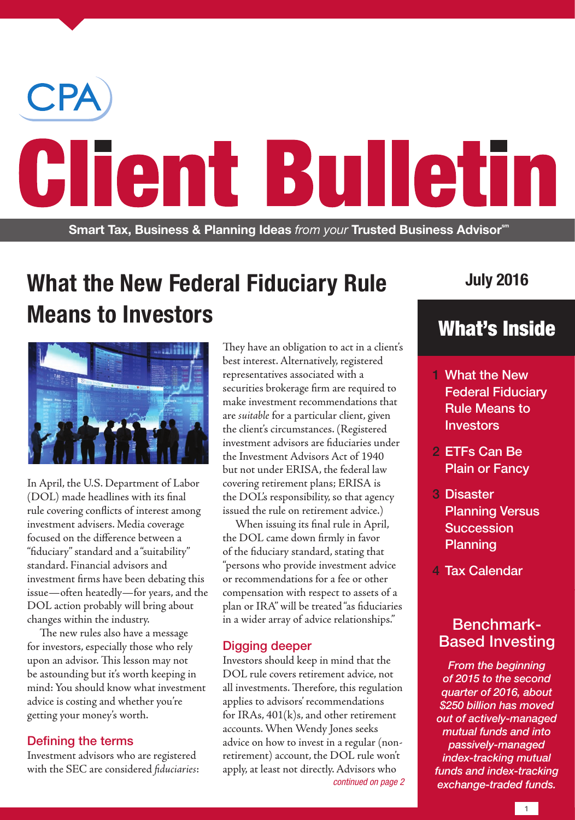

# **What the New Federal Fiduciary Rule Means to Investors**



In April, the U.S. Department of Labor (DOL) made headlines with its final rule covering conflicts of interest among investment advisers. Media coverage focused on the difference between a "fiduciary" standard and a "suitability" standard. Financial advisors and investment firms have been debating this issue—often heatedly—for years, and the DOL action probably will bring about changes within the industry.

The new rules also have a message for investors, especially those who rely upon an advisor. This lesson may not be astounding but it's worth keeping in mind: You should know what investment advice is costing and whether you're getting your money's worth.

## Defining the terms

Investment advisors who are registered with the SEC are considered *fiduciaries*:

They have an obligation to act in a client's best interest. Alternatively, registered representatives associated with a securities brokerage firm are required to make investment recommendations that are *suitable* for a particular client, given the client's circumstances. (Registered investment advisors are fiduciaries under the Investment Advisors Act of 1940 but not under ERISA, the federal law covering retirement plans; ERISA is the DOL's responsibility, so that agency issued the rule on retirement advice.)

When issuing its final rule in April, the DOL came down firmly in favor of the fiduciary standard, stating that "persons who provide investment advice or recommendations for a fee or other compensation with respect to assets of a plan or IRA" will be treated "as fiduciaries in a wider array of advice relationships."

### Digging deeper

Investors should keep in mind that the DOL rule covers retirement advice, not all investments. Therefore, this regulation applies to advisors' recommendations for IRAs, 401(k)s, and other retirement accounts. When Wendy Jones seeks advice on how to invest in a regular (nonretirement) account, the DOL rule won't apply, at least not directly. Advisors who

## **July 2016**

# What's Inside

- 1 What the New Federal Fiduciary Rule Means to **Investors**
- 2 ETFs Can Be Plain or Fancy
- 3 Disaster Planning Versus Succession Planning
- 4 Tax Calendar

## Benchmark-Based Investing

*From the beginning of 2015 to the second quarter of 2016, about \$250 billion has moved out of actively-managed mutual funds and into passively-managed index-tracking mutual funds and index-tracking exchange-traded funds. continued on page 2*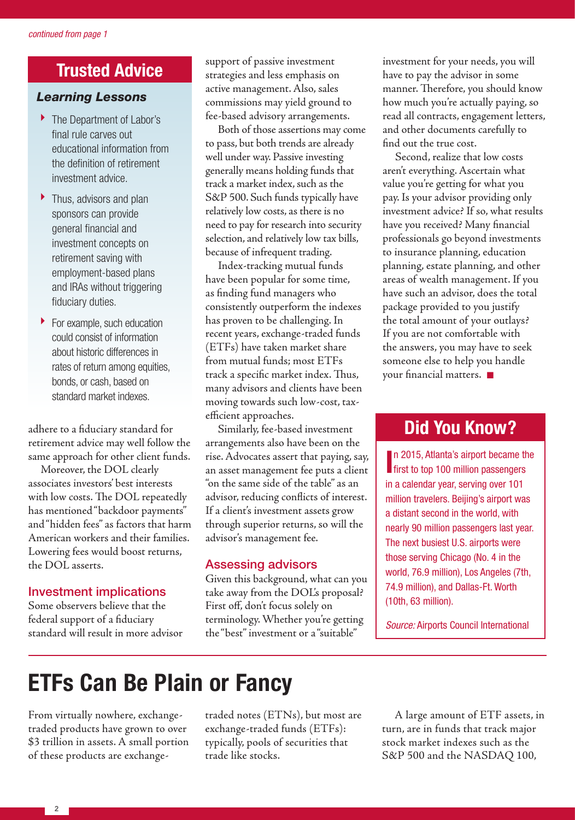# **Trusted Advice**

## *Learning Lessons*

- ▶ The Department of Labor's final rule carves out educational information from the definition of retirement investment advice.
- ▶ Thus, advisors and plan sponsors can provide general financial and investment concepts on retirement saving with employment-based plans and IRAs without triggering fiduciary duties.
- For example, such education could consist of information about historic differences in rates of return among equities, bonds, or cash, based on standard market indexes.

adhere to a fiduciary standard for retirement advice may well follow the same approach for other client funds.

Moreover, the DOL clearly associates investors' best interests with low costs. The DOL repeatedly has mentioned "backdoor payments" and "hidden fees" as factors that harm American workers and their families. Lowering fees would boost returns, the DOL asserts.

### Investment implications

Some observers believe that the federal support of a fiduciary standard will result in more advisor support of passive investment strategies and less emphasis on active management. Also, sales commissions may yield ground to fee-based advisory arrangements.

Both of those assertions may come to pass, but both trends are already well under way. Passive investing generally means holding funds that track a market index, such as the S&P 500. Such funds typically have relatively low costs, as there is no need to pay for research into security selection, and relatively low tax bills, because of infrequent trading.

Index-tracking mutual funds have been popular for some time, as finding fund managers who consistently outperform the indexes has proven to be challenging. In recent years, exchange-traded funds (ETFs) have taken market share from mutual funds; most ETFs track a specific market index. Thus, many advisors and clients have been moving towards such low-cost, taxefficient approaches.

Similarly, fee-based investment arrangements also have been on the rise. Advocates assert that paying, say, an asset management fee puts a client "on the same side of the table" as an advisor, reducing conflicts of interest. If a client's investment assets grow through superior returns, so will the advisor's management fee.

#### Assessing advisors

Given this background, what can you take away from the DOL's proposal? First off, don't focus solely on terminology. Whether you're getting the "best" investment or a "suitable"

investment for your needs, you will have to pay the advisor in some manner. Therefore, you should know how much you're actually paying, so read all contracts, engagement letters, and other documents carefully to find out the true cost.

Second, realize that low costs aren't everything. Ascertain what value you're getting for what you pay. Is your advisor providing only investment advice? If so, what results have you received? Many financial professionals go beyond investments to insurance planning, education planning, estate planning, and other areas of wealth management. If you have such an advisor, does the total package provided to you justify the total amount of your outlays? If you are not comfortable with the answers, you may have to seek someone else to help you handle your financial matters.

## **Did You Know?**

**I**n 2015, Atlanta's airport became the first to top 100 million passengers n 2015, Atlanta's airport became the in a calendar year, serving over 101 million travelers. Beijing's airport was a distant second in the world, with nearly 90 million passengers last year. The next busiest U.S. airports were those serving Chicago (No. 4 in the world, 76.9 million), Los Angeles (7th, 74.9 million), and Dallas-Ft. Worth (10th, 63 million).

*Source:* Airports Council International

# **ETFs Can Be Plain or Fancy**

From virtually nowhere, exchangetraded products have grown to over \$3 trillion in assets. A small portion of these products are exchangetraded notes (ETNs), but most are exchange-traded funds (ETFs): typically, pools of securities that trade like stocks.

A large amount of ETF assets, in turn, are in funds that track major stock market indexes such as the S&P 500 and the NASDAQ 100,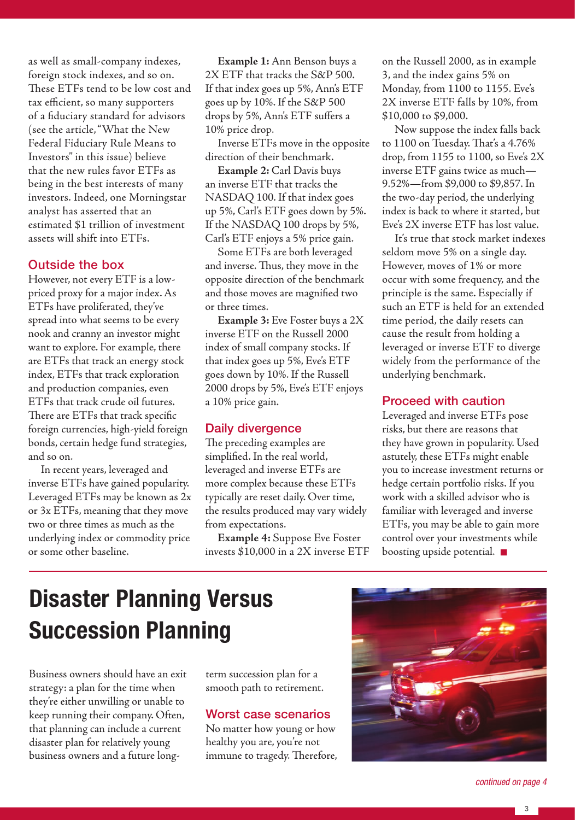as well as small-company indexes, foreign stock indexes, and so on. These ETFs tend to be low cost and tax efficient, so many supporters of a fiduciary standard for advisors (see the article, "What the New Federal Fiduciary Rule Means to Investors" in this issue) believe that the new rules favor ETFs as being in the best interests of many investors. Indeed, one Morningstar analyst has asserted that an estimated \$1 trillion of investment assets will shift into ETFs.

#### Outside the box

However, not every ETF is a lowpriced proxy for a major index. As ETFs have proliferated, they've spread into what seems to be every nook and cranny an investor might want to explore. For example, there are ETFs that track an energy stock index, ETFs that track exploration and production companies, even ETFs that track crude oil futures. There are ETFs that track specific foreign currencies, high-yield foreign bonds, certain hedge fund strategies, and so on.

In recent years, leveraged and inverse ETFs have gained popularity. Leveraged ETFs may be known as 2x or 3x ETFs, meaning that they move two or three times as much as the underlying index or commodity price or some other baseline.

**Example 1:** Ann Benson buys a 2X ETF that tracks the S&P 500. If that index goes up 5%, Ann's ETF goes up by 10%. If the S&P 500 drops by 5%, Ann's ETF suffers a 10% price drop.

Inverse ETFs move in the opposite direction of their benchmark.

**Example 2:** Carl Davis buys an inverse ETF that tracks the NASDAQ 100. If that index goes up 5%, Carl's ETF goes down by 5%. If the NASDAQ 100 drops by 5%, Carl's ETF enjoys a 5% price gain.

Some ETFs are both leveraged and inverse. Thus, they move in the opposite direction of the benchmark and those moves are magnified two or three times.

**Example 3:** Eve Foster buys a 2X inverse ETF on the Russell 2000 index of small company stocks. If that index goes up 5%, Eve's ETF goes down by 10%. If the Russell 2000 drops by 5%, Eve's ETF enjoys a 10% price gain.

#### Daily divergence

The preceding examples are simplified. In the real world, leveraged and inverse ETFs are more complex because these ETFs typically are reset daily. Over time, the results produced may vary widely from expectations.

**Example 4:** Suppose Eve Foster invests \$10,000 in a 2X inverse ETF on the Russell 2000, as in example 3, and the index gains 5% on Monday, from 1100 to 1155. Eve's 2X inverse ETF falls by 10%, from \$10,000 to \$9,000.

Now suppose the index falls back to 1100 on Tuesday. That's a 4.76% drop, from 1155 to 1100, so Eve's 2X inverse ETF gains twice as much— 9.52%—from \$9,000 to \$9,857. In the two-day period, the underlying index is back to where it started, but Eve's 2X inverse ETF has lost value.

It's true that stock market indexes seldom move 5% on a single day. However, moves of 1% or more occur with some frequency, and the principle is the same. Especially if such an ETF is held for an extended time period, the daily resets can cause the result from holding a leveraged or inverse ETF to diverge widely from the performance of the underlying benchmark.

## Proceed with caution

Leveraged and inverse ETFs pose risks, but there are reasons that they have grown in popularity. Used astutely, these ETFs might enable you to increase investment returns or hedge certain portfolio risks. If you work with a skilled advisor who is familiar with leveraged and inverse ETFs, you may be able to gain more control over your investments while boosting upside potential.  $\blacksquare$ 

# **Disaster Planning Versus Succession Planning**

Business owners should have an exit strategy: a plan for the time when they're either unwilling or unable to keep running their company. Often, that planning can include a current disaster plan for relatively young business owners and a future longterm succession plan for a smooth path to retirement.

### Worst case scenarios

No matter how young or how healthy you are, you're not immune to tragedy. Therefore,



*continued on page 4*